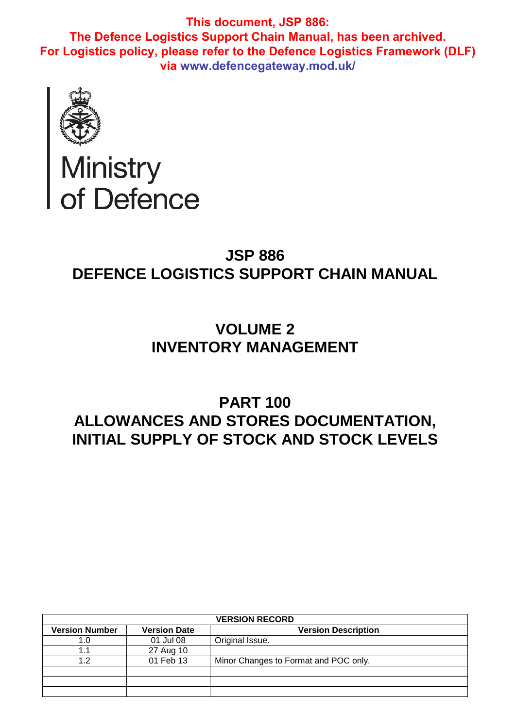

# Ministry<br>of Defence

# **JSP 886 DEFENCE LOGISTICS SUPPORT CHAIN MANUAL**

# **VOLUME 2 INVENTORY MANAGEMENT**

# **PART 100 ALLOWANCES AND STORES DOCUMENTATION, INITIAL SUPPLY OF STOCK AND STOCK LEVELS**

| <b>VERSION RECORD</b> |                     |                                       |  |
|-----------------------|---------------------|---------------------------------------|--|
| <b>Version Number</b> | <b>Version Date</b> | <b>Version Description</b>            |  |
|                       | 01 Jul 08           | Original Issue.                       |  |
|                       | 27 Aug 10           |                                       |  |
| 1 2                   | 01 Feb 13           | Minor Changes to Format and POC only. |  |
|                       |                     |                                       |  |
|                       |                     |                                       |  |
|                       |                     |                                       |  |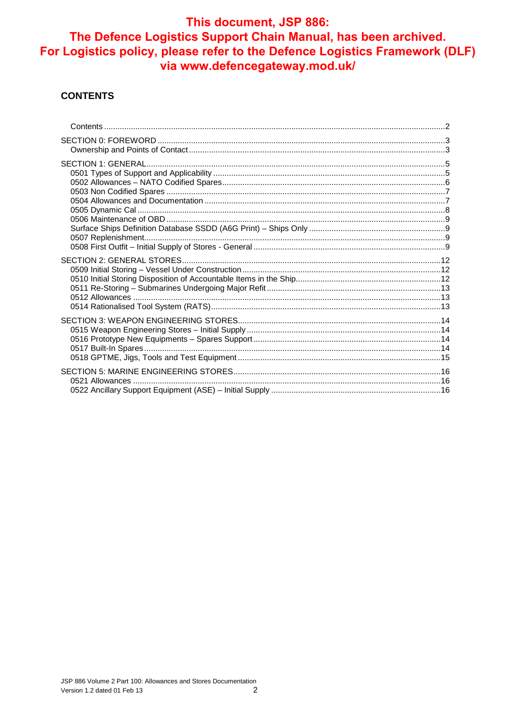#### **CONTENTS**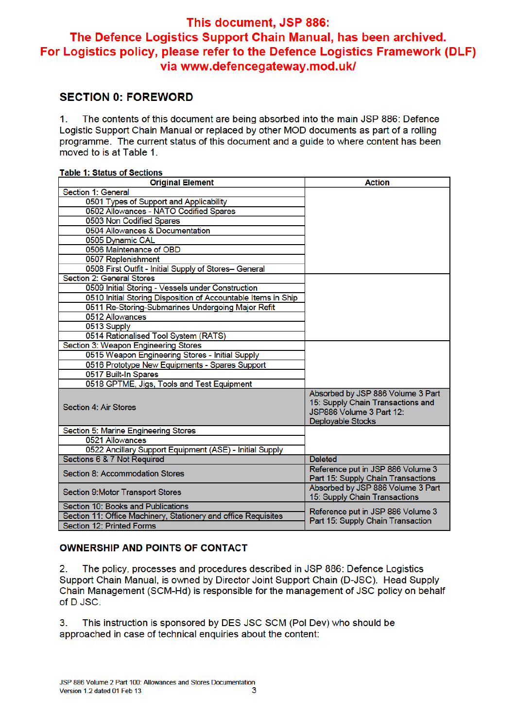### **SECTION 0: FOREWORD**

The contents of this document are being absorbed into the main JSP 886: Defence  $\mathbf{1}$ . Logistic Support Chain Manual or replaced by other MOD documents as part of a rolling programme. The current status of this document and a quide to where content has been moved to is at Table 1.

| Table 1. Status of Sections                                    |                                                                                                                         |  |  |  |
|----------------------------------------------------------------|-------------------------------------------------------------------------------------------------------------------------|--|--|--|
| <b>Original Element</b>                                        | <b>Action</b>                                                                                                           |  |  |  |
| Section 1: General                                             |                                                                                                                         |  |  |  |
| 0501 Types of Support and Applicability                        |                                                                                                                         |  |  |  |
| 0502 Allowances - NATO Codified Spares                         |                                                                                                                         |  |  |  |
| 0503 Non Codified Spares                                       |                                                                                                                         |  |  |  |
| 0504 Allowances & Documentation                                |                                                                                                                         |  |  |  |
| 0505 Dynamic CAL                                               |                                                                                                                         |  |  |  |
| 0506 Maintenance of OBD                                        |                                                                                                                         |  |  |  |
| 0507 Replenishment                                             |                                                                                                                         |  |  |  |
| 0508 First Outfit - Initial Supply of Stores- General          |                                                                                                                         |  |  |  |
| Section 2: General Stores                                      |                                                                                                                         |  |  |  |
| 0509 Initial Storing - Vessels under Construction              |                                                                                                                         |  |  |  |
| 0510 Initial Storing Disposition of Accountable Items in Ship  |                                                                                                                         |  |  |  |
| 0511 Re-Storing-Submarines Undergoing Major Refit              |                                                                                                                         |  |  |  |
| 0512 Allowances                                                |                                                                                                                         |  |  |  |
| 0513 Supply                                                    |                                                                                                                         |  |  |  |
| 0514 Rationalised Tool System (RATS)                           |                                                                                                                         |  |  |  |
| Section 3: Weapon Engineering Stores                           |                                                                                                                         |  |  |  |
| 0515 Weapon Engineering Stores - Initial Supply                |                                                                                                                         |  |  |  |
| 0516 Prototype New Equipments - Spares Support                 |                                                                                                                         |  |  |  |
| 0517 Built-In Spares                                           |                                                                                                                         |  |  |  |
| 0518 GPTME, Jigs, Tools and Test Equipment                     |                                                                                                                         |  |  |  |
| <b>Section 4: Air Stores</b>                                   | Absorbed by JSP 886 Volume 3 Part<br>15: Supply Chain Transactions and<br>JSP886 Volume 3 Part 12:<br>Deployable Stocks |  |  |  |
| Section 5: Marine Engineering Stores                           |                                                                                                                         |  |  |  |
| 0521 Allowances                                                |                                                                                                                         |  |  |  |
| 0522 Ancillary Support Equipment (ASE) - Initial Supply        |                                                                                                                         |  |  |  |
| Sections 6 & 7 Not Required                                    | <b>Deleted</b>                                                                                                          |  |  |  |
| Section 8: Accommodation Stores                                | Reference put in JSP 886 Volume 3<br>Part 15: Supply Chain Transactions                                                 |  |  |  |
| Section 9:Motor Transport Stores                               | Absorbed by JSP 886 Volume 3 Part<br>15: Supply Chain Transactions                                                      |  |  |  |
| Section 10: Books and Publications                             | Reference put in JSP 886 Volume 3                                                                                       |  |  |  |
| Section 11: Office Machinery, Stationery and office Requisites | Part 15: Supply Chain Transaction                                                                                       |  |  |  |
| Section 12: Printed Forms                                      |                                                                                                                         |  |  |  |

#### Table 1: Ctatus of Contions

#### **OWNERSHIP AND POINTS OF CONTACT**

 $2.$ The policy, processes and procedures described in JSP 886: Defence Logistics Support Chain Manual, is owned by Director Joint Support Chain (D-JSC). Head Supply Chain Management (SCM-Hd) is responsible for the management of JSC policy on behalf of D JSC.

This instruction is sponsored by DES JSC SCM (Pol Dev) who should be  $3<sub>1</sub>$ approached in case of technical enquiries about the content: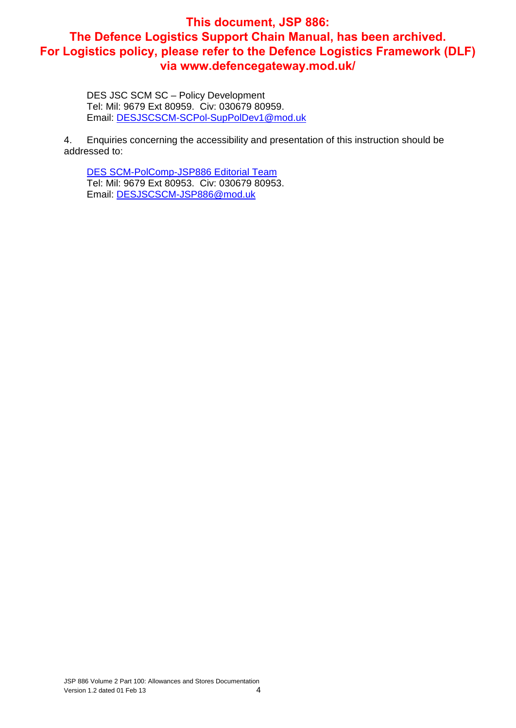DES JSC SCM SC – Policy Development Tel: Mil: 9679 Ext 80959. Civ: 030679 80959. Email: DESJSCSCM-SCPol-SupPolDev1@mod.uk

4. Enquiries concerning the accessibility and presentation of this instruction should be addressed to:

DES SCM-PolComp-JSP886 Editorial Team Tel: Mil: 9679 Ext 80953. Civ: 030679 80953. Email: DESJSCSCM-JSP886@mod.uk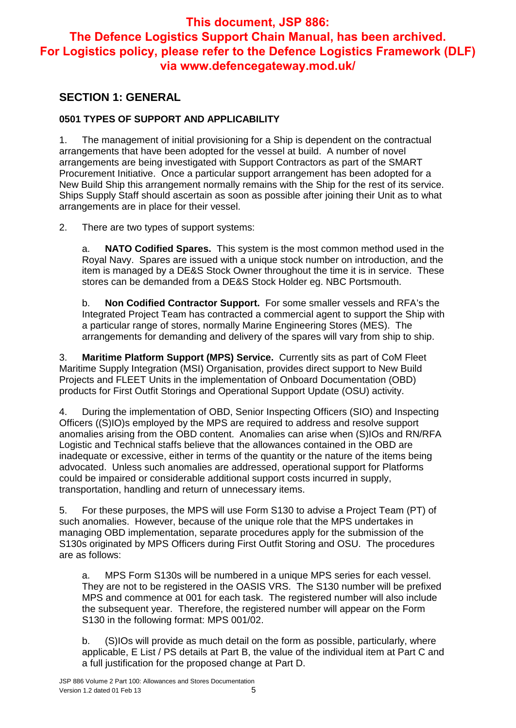## **SECTION 1: GENERAL**

#### **0501 TYPES OF SUPPORT AND APPLICABILITY**

1. The management of initial provisioning for a Ship is dependent on the contractual arrangements that have been adopted for the vessel at build. A number of novel arrangements are being investigated with Support Contractors as part of the SMART Procurement Initiative. Once a particular support arrangement has been adopted for a New Build Ship this arrangement normally remains with the Ship for the rest of its service. Ships Supply Staff should ascertain as soon as possible after joining their Unit as to what arrangements are in place for their vessel.

2. There are two types of support systems:

a. **NATO Codified Spares.** This system is the most common method used in the Royal Navy. Spares are issued with a unique stock number on introduction, and the item is managed by a DE&S Stock Owner throughout the time it is in service. These stores can be demanded from a DE&S Stock Holder eg. NBC Portsmouth.

b. **Non Codified Contractor Support.** For some smaller vessels and RFA's the Integrated Project Team has contracted a commercial agent to support the Ship with a particular range of stores, normally Marine Engineering Stores (MES). The arrangements for demanding and delivery of the spares will vary from ship to ship.

3. **Maritime Platform Support (MPS) Service.** Currently sits as part of CoM Fleet Maritime Supply Integration (MSI) Organisation, provides direct support to New Build Projects and FLEET Units in the implementation of Onboard Documentation (OBD) products for First Outfit Storings and Operational Support Update (OSU) activity.

4. During the implementation of OBD, Senior Inspecting Officers (SIO) and Inspecting Officers ((S)IO)s employed by the MPS are required to address and resolve support anomalies arising from the OBD content. Anomalies can arise when (S)IOs and RN/RFA Logistic and Technical staffs believe that the allowances contained in the OBD are inadequate or excessive, either in terms of the quantity or the nature of the items being advocated. Unless such anomalies are addressed, operational support for Platforms could be impaired or considerable additional support costs incurred in supply, transportation, handling and return of unnecessary items.

5. For these purposes, the MPS will use Form S130 to advise a Project Team (PT) of such anomalies. However, because of the unique role that the MPS undertakes in managing OBD implementation, separate procedures apply for the submission of the S130s originated by MPS Officers during First Outfit Storing and OSU. The procedures are as follows:

a. MPS Form S130s will be numbered in a unique MPS series for each vessel. They are not to be registered in the OASIS VRS. The S130 number will be prefixed MPS and commence at 001 for each task. The registered number will also include the subsequent year. Therefore, the registered number will appear on the Form S130 in the following format: MPS 001/02.

b. (S)IOs will provide as much detail on the form as possible, particularly, where applicable, E List / PS details at Part B, the value of the individual item at Part C and a full justification for the proposed change at Part D.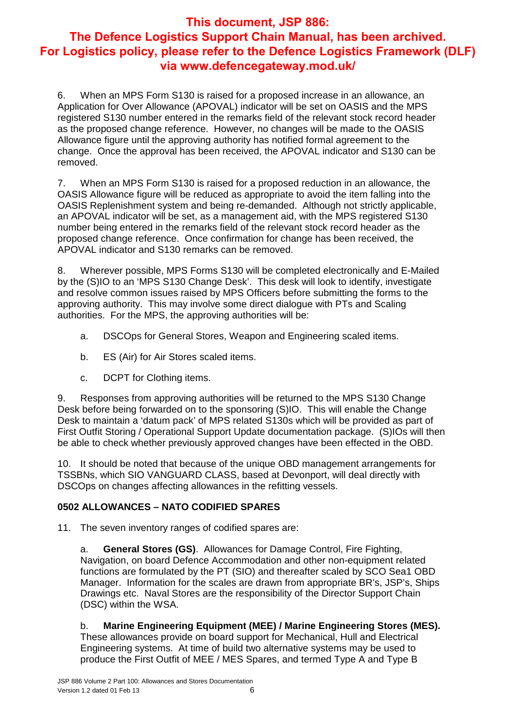6. When an MPS Form S130 is raised for a proposed increase in an allowance, an Application for Over Allowance (APOVAL) indicator will be set on OASIS and the MPS registered S130 number entered in the remarks field of the relevant stock record header as the proposed change reference. However, no changes will be made to the OASIS Allowance figure until the approving authority has notified formal agreement to the change. Once the approval has been received, the APOVAL indicator and S130 can be removed.

7. When an MPS Form S130 is raised for a proposed reduction in an allowance, the OASIS Allowance figure will be reduced as appropriate to avoid the item falling into the OASIS Replenishment system and being re-demanded. Although not strictly applicable, an APOVAL indicator will be set, as a management aid, with the MPS registered S130 number being entered in the remarks field of the relevant stock record header as the proposed change reference. Once confirmation for change has been received, the APOVAL indicator and S130 remarks can be removed.

8. Wherever possible, MPS Forms S130 will be completed electronically and E-Mailed by the (S)IO to an 'MPS S130 Change Desk'. This desk will look to identify, investigate and resolve common issues raised by MPS Officers before submitting the forms to the approving authority. This may involve some direct dialogue with PTs and Scaling authorities. For the MPS, the approving authorities will be:

- a. DSCOps for General Stores, Weapon and Engineering scaled items.
- b. ES (Air) for Air Stores scaled items.
- c. DCPT for Clothing items.

9. Responses from approving authorities will be returned to the MPS S130 Change Desk before being forwarded on to the sponsoring (S)IO. This will enable the Change Desk to maintain a 'datum pack' of MPS related S130s which will be provided as part of First Outfit Storing / Operational Support Update documentation package. (S)IOs will then be able to check whether previously approved changes have been effected in the OBD.

10. It should be noted that because of the unique OBD management arrangements for TSSBNs, which SIO VANGUARD CLASS, based at Devonport, will deal directly with DSCOps on changes affecting allowances in the refitting vessels.

#### **0502 ALLOWANCES – NATO CODIFIED SPARES**

11. The seven inventory ranges of codified spares are:

a. **General Stores (GS)**. Allowances for Damage Control, Fire Fighting, Navigation, on board Defence Accommodation and other non-equipment related functions are formulated by the PT (SIO) and thereafter scaled by SCO Sea1 OBD Manager. Information for the scales are drawn from appropriate BR's, JSP's, Ships Drawings etc. Naval Stores are the responsibility of the Director Support Chain (DSC) within the WSA.

#### b. **Marine Engineering Equipment (MEE) / Marine Engineering Stores (MES).**

These allowances provide on board support for Mechanical, Hull and Electrical Engineering systems. At time of build two alternative systems may be used to produce the First Outfit of MEE / MES Spares, and termed Type A and Type B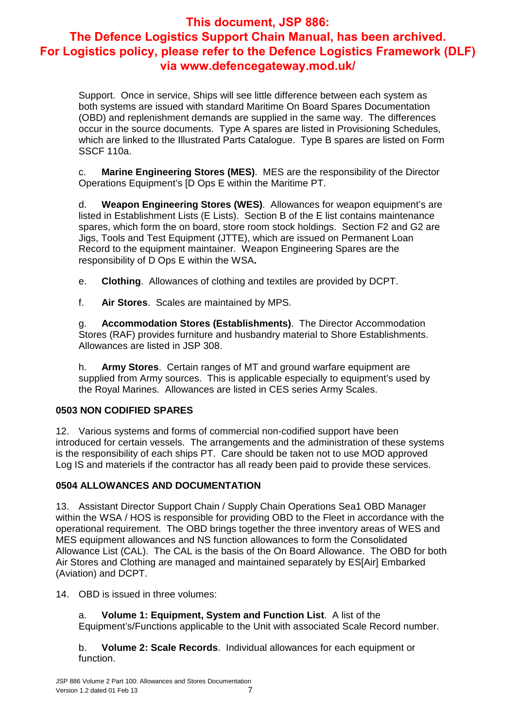Support. Once in service, Ships will see little difference between each system as both systems are issued with standard Maritime On Board Spares Documentation (OBD) and replenishment demands are supplied in the same way. The differences occur in the source documents. Type A spares are listed in Provisioning Schedules, which are linked to the Illustrated Parts Catalogue. Type B spares are listed on Form SSCF 110a.

c. **Marine Engineering Stores (MES)**. MES are the responsibility of the Director Operations Equipment's [D Ops E within the Maritime PT.

d. **Weapon Engineering Stores (WES)**. Allowances for weapon equipment's are listed in Establishment Lists (E Lists). Section B of the E list contains maintenance spares, which form the on board, store room stock holdings. Section F2 and G2 are Jigs, Tools and Test Equipment (JTTE), which are issued on Permanent Loan Record to the equipment maintainer. Weapon Engineering Spares are the responsibility of D Ops E within the WSA**.** 

e. **Clothing**. Allowances of clothing and textiles are provided by DCPT.

f. **Air Stores**. Scales are maintained by MPS.

g. **Accommodation Stores (Establishments)**. The Director Accommodation Stores (RAF) provides furniture and husbandry material to Shore Establishments. Allowances are listed in JSP 308.

h. **Army Stores**. Certain ranges of MT and ground warfare equipment are supplied from Army sources. This is applicable especially to equipment's used by the Royal Marines. Allowances are listed in CES series Army Scales.

#### **0503 NON CODIFIED SPARES**

12. Various systems and forms of commercial non-codified support have been introduced for certain vessels. The arrangements and the administration of these systems is the responsibility of each ships PT. Care should be taken not to use MOD approved Log IS and materiels if the contractor has all ready been paid to provide these services.

#### **0504 ALLOWANCES AND DOCUMENTATION**

13. Assistant Director Support Chain / Supply Chain Operations Sea1 OBD Manager within the WSA / HOS is responsible for providing OBD to the Fleet in accordance with the operational requirement. The OBD brings together the three inventory areas of WES and MES equipment allowances and NS function allowances to form the Consolidated Allowance List (CAL). The CAL is the basis of the On Board Allowance. The OBD for both Air Stores and Clothing are managed and maintained separately by ES[Air] Embarked (Aviation) and DCPT.

14. OBD is issued in three volumes:

a. **Volume 1: Equipment, System and Function List**. A list of the Equipment's/Functions applicable to the Unit with associated Scale Record number.

b. **Volume 2: Scale Records**. Individual allowances for each equipment or function.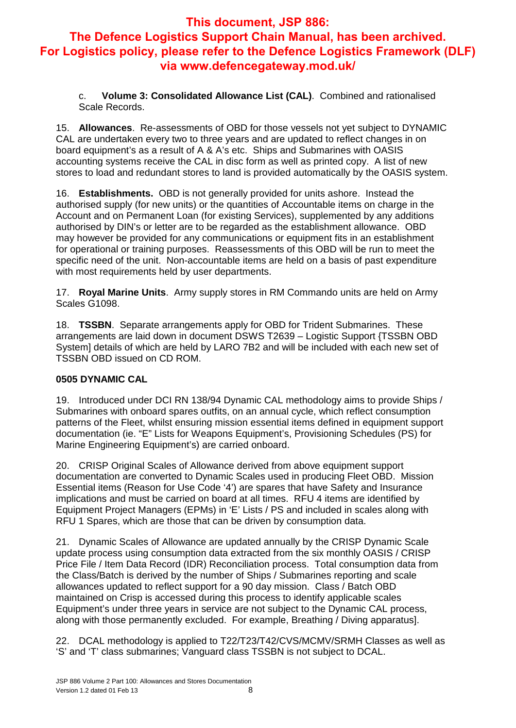c. **Volume 3: Consolidated Allowance List (CAL)**. Combined and rationalised Scale Records.

15. **Allowances**. Re-assessments of OBD for those vessels not yet subject to DYNAMIC CAL are undertaken every two to three years and are updated to reflect changes in on board equipment's as a result of A & A's etc. Ships and Submarines with OASIS accounting systems receive the CAL in disc form as well as printed copy. A list of new stores to load and redundant stores to land is provided automatically by the OASIS system.

16. **Establishments.** OBD is not generally provided for units ashore. Instead the authorised supply (for new units) or the quantities of Accountable items on charge in the Account and on Permanent Loan (for existing Services), supplemented by any additions authorised by DIN's or letter are to be regarded as the establishment allowance. OBD may however be provided for any communications or equipment fits in an establishment for operational or training purposes. Reassessments of this OBD will be run to meet the specific need of the unit. Non-accountable items are held on a basis of past expenditure with most requirements held by user departments.

17. **Royal Marine Units**. Army supply stores in RM Commando units are held on Army Scales G1098.

18. **TSSBN**. Separate arrangements apply for OBD for Trident Submarines. These arrangements are laid down in document DSWS T2639 – Logistic Support {TSSBN OBD System] details of which are held by LARO 7B2 and will be included with each new set of TSSBN OBD issued on CD ROM.

#### **0505 DYNAMIC CAL**

19. Introduced under DCI RN 138/94 Dynamic CAL methodology aims to provide Ships / Submarines with onboard spares outfits, on an annual cycle, which reflect consumption patterns of the Fleet, whilst ensuring mission essential items defined in equipment support documentation (ie. "E" Lists for Weapons Equipment's, Provisioning Schedules (PS) for Marine Engineering Equipment's) are carried onboard.

20. CRISP Original Scales of Allowance derived from above equipment support documentation are converted to Dynamic Scales used in producing Fleet OBD. Mission Essential items (Reason for Use Code '4') are spares that have Safety and Insurance implications and must be carried on board at all times. RFU 4 items are identified by Equipment Project Managers (EPMs) in 'E' Lists / PS and included in scales along with RFU 1 Spares, which are those that can be driven by consumption data.

21. Dynamic Scales of Allowance are updated annually by the CRISP Dynamic Scale update process using consumption data extracted from the six monthly OASIS / CRISP Price File / Item Data Record (IDR) Reconciliation process. Total consumption data from the Class/Batch is derived by the number of Ships / Submarines reporting and scale allowances updated to reflect support for a 90 day mission. Class / Batch OBD maintained on Crisp is accessed during this process to identify applicable scales Equipment's under three years in service are not subject to the Dynamic CAL process, along with those permanently excluded. For example, Breathing / Diving apparatus].

22. DCAL methodology is applied to T22/T23/T42/CVS/MCMV/SRMH Classes as well as 'S' and 'T' class submarines; Vanguard class TSSBN is not subject to DCAL.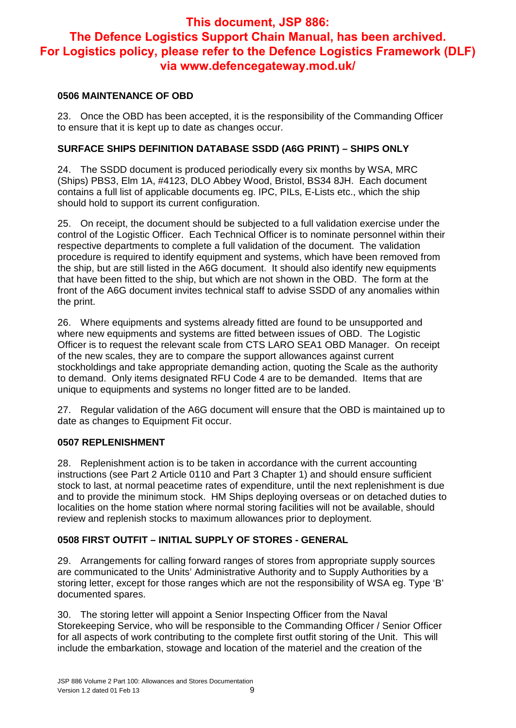#### **0506 MAINTENANCE OF OBD**

23. Once the OBD has been accepted, it is the responsibility of the Commanding Officer to ensure that it is kept up to date as changes occur.

#### **SURFACE SHIPS DEFINITION DATABASE SSDD (A6G PRINT) – SHIPS ONLY**

24. The SSDD document is produced periodically every six months by WSA, MRC (Ships) PBS3, Elm 1A, #4123, DLO Abbey Wood, Bristol, BS34 8JH. Each document contains a full list of applicable documents eg. IPC, PILs, E-Lists etc., which the ship should hold to support its current configuration.

25. On receipt, the document should be subjected to a full validation exercise under the control of the Logistic Officer. Each Technical Officer is to nominate personnel within their respective departments to complete a full validation of the document. The validation procedure is required to identify equipment and systems, which have been removed from the ship, but are still listed in the A6G document. It should also identify new equipments that have been fitted to the ship, but which are not shown in the OBD. The form at the front of the A6G document invites technical staff to advise SSDD of any anomalies within the print.

26. Where equipments and systems already fitted are found to be unsupported and where new equipments and systems are fitted between issues of OBD. The Logistic Officer is to request the relevant scale from CTS LARO SEA1 OBD Manager. On receipt of the new scales, they are to compare the support allowances against current stockholdings and take appropriate demanding action, quoting the Scale as the authority to demand. Only items designated RFU Code 4 are to be demanded. Items that are unique to equipments and systems no longer fitted are to be landed.

27. Regular validation of the A6G document will ensure that the OBD is maintained up to date as changes to Equipment Fit occur.

#### **0507 REPLENISHMENT**

28. Replenishment action is to be taken in accordance with the current accounting instructions (see Part 2 Article 0110 and Part 3 Chapter 1) and should ensure sufficient stock to last, at normal peacetime rates of expenditure, until the next replenishment is due and to provide the minimum stock. HM Ships deploying overseas or on detached duties to localities on the home station where normal storing facilities will not be available, should review and replenish stocks to maximum allowances prior to deployment.

#### **0508 FIRST OUTFIT – INITIAL SUPPLY OF STORES - GENERAL**

29. Arrangements for calling forward ranges of stores from appropriate supply sources are communicated to the Units' Administrative Authority and to Supply Authorities by a storing letter, except for those ranges which are not the responsibility of WSA eg. Type 'B' documented spares.

30. The storing letter will appoint a Senior Inspecting Officer from the Naval Storekeeping Service, who will be responsible to the Commanding Officer / Senior Officer for all aspects of work contributing to the complete first outfit storing of the Unit. This will include the embarkation, stowage and location of the materiel and the creation of the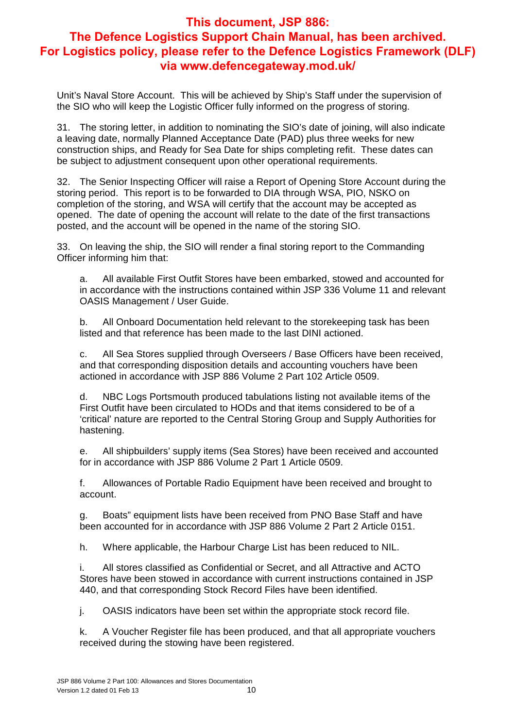Unit's Naval Store Account. This will be achieved by Ship's Staff under the supervision of the SIO who will keep the Logistic Officer fully informed on the progress of storing.

31. The storing letter, in addition to nominating the SIO's date of joining, will also indicate a leaving date, normally Planned Acceptance Date (PAD) plus three weeks for new construction ships, and Ready for Sea Date for ships completing refit. These dates can be subject to adjustment consequent upon other operational requirements.

32. The Senior Inspecting Officer will raise a Report of Opening Store Account during the storing period. This report is to be forwarded to DIA through WSA, PIO, NSKO on completion of the storing, and WSA will certify that the account may be accepted as opened. The date of opening the account will relate to the date of the first transactions posted, and the account will be opened in the name of the storing SIO.

33. On leaving the ship, the SIO will render a final storing report to the Commanding Officer informing him that:

a. All available First Outfit Stores have been embarked, stowed and accounted for in accordance with the instructions contained within JSP 336 Volume 11 and relevant OASIS Management / User Guide.

b. All Onboard Documentation held relevant to the storekeeping task has been listed and that reference has been made to the last DINI actioned.

c. All Sea Stores supplied through Overseers / Base Officers have been received, and that corresponding disposition details and accounting vouchers have been actioned in accordance with JSP 886 Volume 2 Part 102 Article 0509.

d. NBC Logs Portsmouth produced tabulations listing not available items of the First Outfit have been circulated to HODs and that items considered to be of a 'critical' nature are reported to the Central Storing Group and Supply Authorities for hastening.

e. All shipbuilders' supply items (Sea Stores) have been received and accounted for in accordance with JSP 886 Volume 2 Part 1 Article 0509.

f. Allowances of Portable Radio Equipment have been received and brought to account.

g. Boats" equipment lists have been received from PNO Base Staff and have been accounted for in accordance with JSP 886 Volume 2 Part 2 Article 0151.

h. Where applicable, the Harbour Charge List has been reduced to NIL.

i. All stores classified as Confidential or Secret, and all Attractive and ACTO Stores have been stowed in accordance with current instructions contained in JSP 440, and that corresponding Stock Record Files have been identified.

j. OASIS indicators have been set within the appropriate stock record file.

k. A Voucher Register file has been produced, and that all appropriate vouchers received during the stowing have been registered.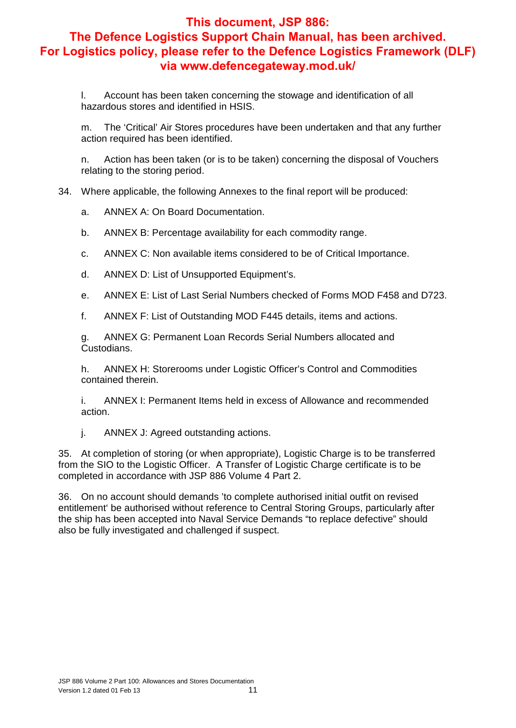l. Account has been taken concerning the stowage and identification of all hazardous stores and identified in HSIS.

m. The 'Critical' Air Stores procedures have been undertaken and that any further action required has been identified.

n. Action has been taken (or is to be taken) concerning the disposal of Vouchers relating to the storing period.

34. Where applicable, the following Annexes to the final report will be produced:

a. ANNEX A: On Board Documentation.

b. ANNEX B: Percentage availability for each commodity range.

c. ANNEX C: Non available items considered to be of Critical Importance.

- d. ANNEX D: List of Unsupported Equipment's.
- e. ANNEX E: List of Last Serial Numbers checked of Forms MOD F458 and D723.

f. ANNEX F: List of Outstanding MOD F445 details, items and actions.

g. ANNEX G: Permanent Loan Records Serial Numbers allocated and Custodians.

h. ANNEX H: Storerooms under Logistic Officer's Control and Commodities contained therein.

i. ANNEX I: Permanent Items held in excess of Allowance and recommended action.

j. ANNEX J: Agreed outstanding actions.

35. At completion of storing (or when appropriate), Logistic Charge is to be transferred from the SIO to the Logistic Officer. A Transfer of Logistic Charge certificate is to be completed in accordance with JSP 886 Volume 4 Part 2.

36. On no account should demands 'to complete authorised initial outfit on revised entitlement' be authorised without reference to Central Storing Groups, particularly after the ship has been accepted into Naval Service Demands "to replace defective" should also be fully investigated and challenged if suspect.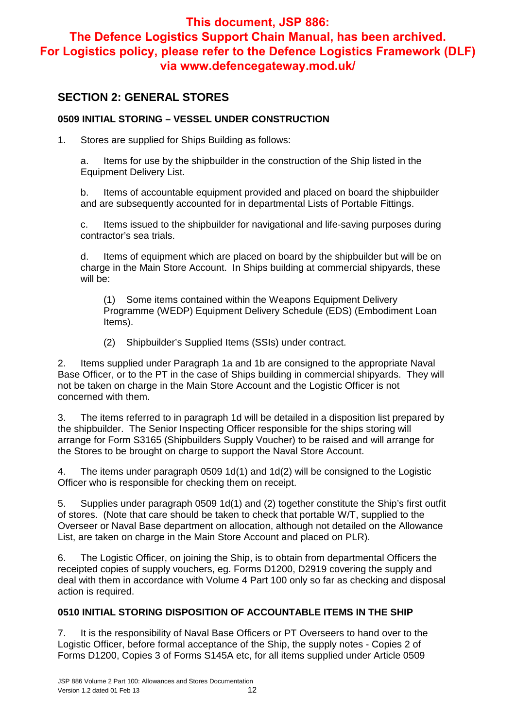## **SECTION 2: GENERAL STORES**

#### **0509 INITIAL STORING – VESSEL UNDER CONSTRUCTION**

1. Stores are supplied for Ships Building as follows:

a. Items for use by the shipbuilder in the construction of the Ship listed in the Equipment Delivery List.

b. Items of accountable equipment provided and placed on board the shipbuilder and are subsequently accounted for in departmental Lists of Portable Fittings.

c. Items issued to the shipbuilder for navigational and life-saving purposes during contractor's sea trials.

d. Items of equipment which are placed on board by the shipbuilder but will be on charge in the Main Store Account. In Ships building at commercial shipyards, these will be:

(1) Some items contained within the Weapons Equipment Delivery Programme (WEDP) Equipment Delivery Schedule (EDS) (Embodiment Loan Items).

(2) Shipbuilder's Supplied Items (SSIs) under contract.

2. Items supplied under Paragraph 1a and 1b are consigned to the appropriate Naval Base Officer, or to the PT in the case of Ships building in commercial shipyards. They will not be taken on charge in the Main Store Account and the Logistic Officer is not concerned with them.

3. The items referred to in paragraph 1d will be detailed in a disposition list prepared by the shipbuilder. The Senior Inspecting Officer responsible for the ships storing will arrange for Form S3165 (Shipbuilders Supply Voucher) to be raised and will arrange for the Stores to be brought on charge to support the Naval Store Account.

4. The items under paragraph 0509 1d(1) and 1d(2) will be consigned to the Logistic Officer who is responsible for checking them on receipt.

5. Supplies under paragraph 0509 1d(1) and (2) together constitute the Ship's first outfit of stores. (Note that care should be taken to check that portable W/T, supplied to the Overseer or Naval Base department on allocation, although not detailed on the Allowance List, are taken on charge in the Main Store Account and placed on PLR).

6. The Logistic Officer, on joining the Ship, is to obtain from departmental Officers the receipted copies of supply vouchers, eg. Forms D1200, D2919 covering the supply and deal with them in accordance with Volume 4 Part 100 only so far as checking and disposal action is required.

#### **0510 INITIAL STORING DISPOSITION OF ACCOUNTABLE ITEMS IN THE SHIP**

7. It is the responsibility of Naval Base Officers or PT Overseers to hand over to the Logistic Officer, before formal acceptance of the Ship, the supply notes - Copies 2 of Forms D1200, Copies 3 of Forms S145A etc, for all items supplied under Article 0509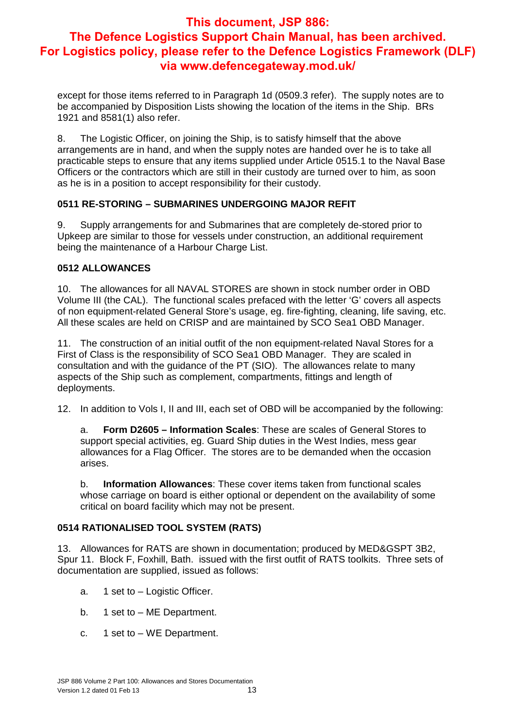except for those items referred to in Paragraph 1d (0509.3 refer). The supply notes are to be accompanied by Disposition Lists showing the location of the items in the Ship. BRs 1921 and 8581(1) also refer.

8. The Logistic Officer, on joining the Ship, is to satisfy himself that the above arrangements are in hand, and when the supply notes are handed over he is to take all practicable steps to ensure that any items supplied under Article 0515.1 to the Naval Base Officers or the contractors which are still in their custody are turned over to him, as soon as he is in a position to accept responsibility for their custody.

#### **0511 RE-STORING – SUBMARINES UNDERGOING MAJOR REFIT**

9. Supply arrangements for and Submarines that are completely de-stored prior to Upkeep are similar to those for vessels under construction, an additional requirement being the maintenance of a Harbour Charge List.

#### **0512 ALLOWANCES**

10. The allowances for all NAVAL STORES are shown in stock number order in OBD Volume III (the CAL). The functional scales prefaced with the letter 'G' covers all aspects of non equipment-related General Store's usage, eg. fire-fighting, cleaning, life saving, etc. All these scales are held on CRISP and are maintained by SCO Sea1 OBD Manager.

11. The construction of an initial outfit of the non equipment-related Naval Stores for a First of Class is the responsibility of SCO Sea1 OBD Manager. They are scaled in consultation and with the guidance of the PT (SIO). The allowances relate to many aspects of the Ship such as complement, compartments, fittings and length of deployments.

12. In addition to Vols I, II and III, each set of OBD will be accompanied by the following:

a. **Form D2605 – Information Scales**: These are scales of General Stores to support special activities, eg. Guard Ship duties in the West Indies, mess gear allowances for a Flag Officer. The stores are to be demanded when the occasion arises.

b. **Information Allowances**: These cover items taken from functional scales whose carriage on board is either optional or dependent on the availability of some critical on board facility which may not be present.

#### **0514 RATIONALISED TOOL SYSTEM (RATS)**

13. Allowances for RATS are shown in documentation; produced by MED&GSPT 3B2, Spur 11. Block F, Foxhill, Bath. issued with the first outfit of RATS toolkits. Three sets of documentation are supplied, issued as follows:

- a. 1 set to Logistic Officer.
- b. 1 set to ME Department.
- c. 1 set to WE Department.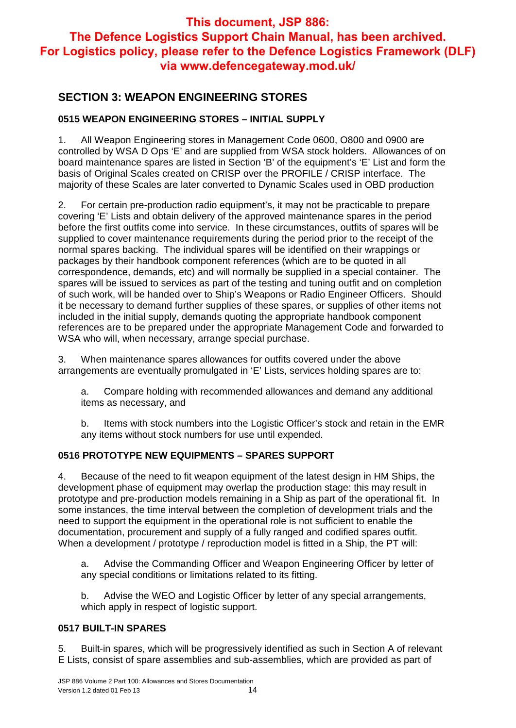## **SECTION 3: WEAPON ENGINEERING STORES**

#### **0515 WEAPON ENGINEERING STORES – INITIAL SUPPLY**

1. All Weapon Engineering stores in Management Code 0600, O800 and 0900 are controlled by WSA D Ops 'E' and are supplied from WSA stock holders. Allowances of on board maintenance spares are listed in Section 'B' of the equipment's 'E' List and form the basis of Original Scales created on CRISP over the PROFILE / CRISP interface. The majority of these Scales are later converted to Dynamic Scales used in OBD production

2. For certain pre-production radio equipment's, it may not be practicable to prepare covering 'E' Lists and obtain delivery of the approved maintenance spares in the period before the first outfits come into service. In these circumstances, outfits of spares will be supplied to cover maintenance requirements during the period prior to the receipt of the normal spares backing. The individual spares will be identified on their wrappings or packages by their handbook component references (which are to be quoted in all correspondence, demands, etc) and will normally be supplied in a special container. The spares will be issued to services as part of the testing and tuning outfit and on completion of such work, will be handed over to Ship's Weapons or Radio Engineer Officers. Should it be necessary to demand further supplies of these spares, or supplies of other items not included in the initial supply, demands quoting the appropriate handbook component references are to be prepared under the appropriate Management Code and forwarded to WSA who will, when necessary, arrange special purchase.

3. When maintenance spares allowances for outfits covered under the above arrangements are eventually promulgated in 'E' Lists, services holding spares are to:

a. Compare holding with recommended allowances and demand any additional items as necessary, and

b. Items with stock numbers into the Logistic Officer's stock and retain in the EMR any items without stock numbers for use until expended.

#### **0516 PROTOTYPE NEW EQUIPMENTS – SPARES SUPPORT**

4. Because of the need to fit weapon equipment of the latest design in HM Ships, the development phase of equipment may overlap the production stage: this may result in prototype and pre-production models remaining in a Ship as part of the operational fit. In some instances, the time interval between the completion of development trials and the need to support the equipment in the operational role is not sufficient to enable the documentation, procurement and supply of a fully ranged and codified spares outfit. When a development / prototype / reproduction model is fitted in a Ship, the PT will:

a. Advise the Commanding Officer and Weapon Engineering Officer by letter of any special conditions or limitations related to its fitting.

b. Advise the WEO and Logistic Officer by letter of any special arrangements, which apply in respect of logistic support.

#### **0517 BUILT-IN SPARES**

5. Built-in spares, which will be progressively identified as such in Section A of relevant E Lists, consist of spare assemblies and sub-assemblies, which are provided as part of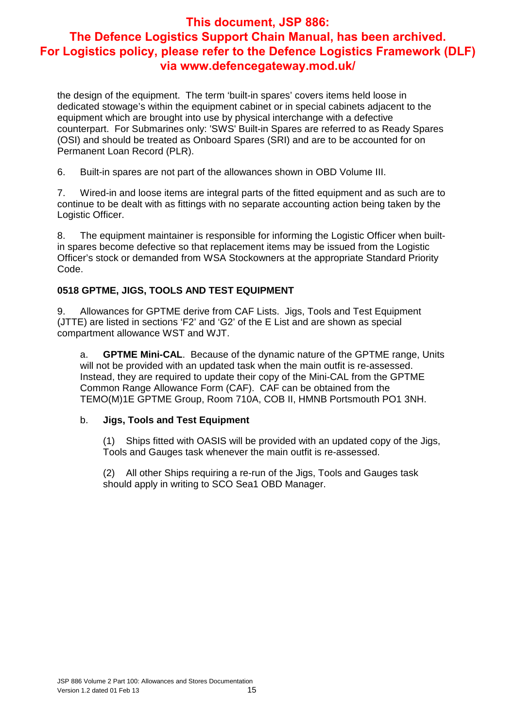the design of the equipment. The term 'built-in spares' covers items held loose in dedicated stowage's within the equipment cabinet or in special cabinets adjacent to the equipment which are brought into use by physical interchange with a defective counterpart. For Submarines only: 'SWS' Built-in Spares are referred to as Ready Spares (OSI) and should be treated as Onboard Spares (SRI) and are to be accounted for on Permanent Loan Record (PLR).

6. Built-in spares are not part of the allowances shown in OBD Volume III.

7. Wired-in and loose items are integral parts of the fitted equipment and as such are to continue to be dealt with as fittings with no separate accounting action being taken by the Logistic Officer.

8. The equipment maintainer is responsible for informing the Logistic Officer when builtin spares become defective so that replacement items may be issued from the Logistic Officer's stock or demanded from WSA Stockowners at the appropriate Standard Priority Code.

#### **0518 GPTME, JIGS, TOOLS AND TEST EQUIPMENT**

9. Allowances for GPTME derive from CAF Lists. Jigs, Tools and Test Equipment (JTTE) are listed in sections 'F2' and 'G2' of the E List and are shown as special compartment allowance WST and WJT.

a. **GPTME Mini-CAL**. Because of the dynamic nature of the GPTME range, Units will not be provided with an updated task when the main outfit is re-assessed. Instead, they are required to update their copy of the Mini-CAL from the GPTME Common Range Allowance Form (CAF). CAF can be obtained from the TEMO(M)1E GPTME Group, Room 710A, COB II, HMNB Portsmouth PO1 3NH.

#### b. **Jigs, Tools and Test Equipment**

(1) Ships fitted with OASIS will be provided with an updated copy of the Jigs, Tools and Gauges task whenever the main outfit is re-assessed.

(2) All other Ships requiring a re-run of the Jigs, Tools and Gauges task should apply in writing to SCO Sea1 OBD Manager.